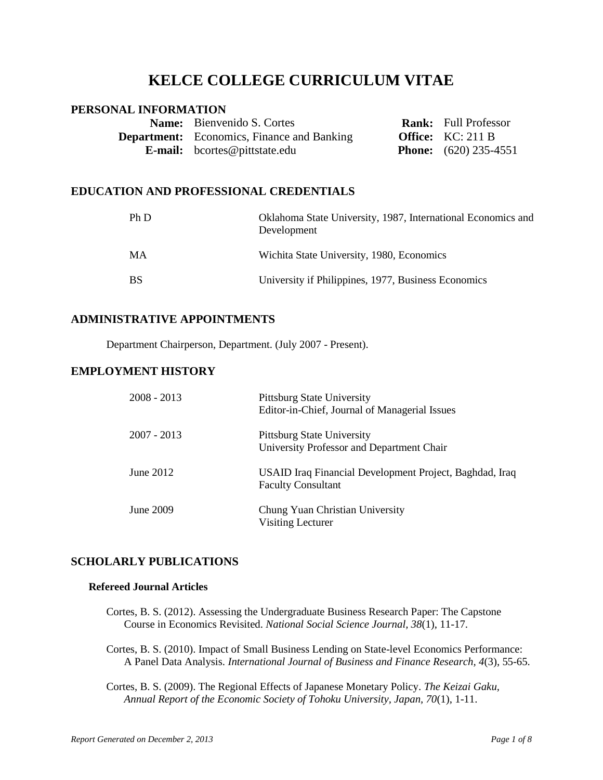# **KELCE COLLEGE CURRICULUM VITAE**

# **PERSONAL INFORMATION**

| <b>Name:</b> Bienvenido S. Cortes                 | <b>Rank:</b> Full Professor    |
|---------------------------------------------------|--------------------------------|
| <b>Department:</b> Economics, Finance and Banking | <b>Office:</b> $KC: 211B$      |
| <b>E-mail:</b> bcortes@pittstate.edu              | <b>Phone:</b> $(620)$ 235-4551 |

# **EDUCATION AND PROFESSIONAL CREDENTIALS**

| Ph D      | Oklahoma State University, 1987, International Economics and<br>Development |
|-----------|-----------------------------------------------------------------------------|
| MA        | Wichita State University, 1980, Economics                                   |
| <b>BS</b> | University if Philippines, 1977, Business Economics                         |

# **ADMINISTRATIVE APPOINTMENTS**

Department Chairperson, Department. (July 2007 - Present).

# **EMPLOYMENT HISTORY**

| $2008 - 2013$ | <b>Pittsburg State University</b><br>Editor-in-Chief, Journal of Managerial Issues   |  |
|---------------|--------------------------------------------------------------------------------------|--|
| $2007 - 2013$ | Pittsburg State University<br>University Professor and Department Chair              |  |
| June 2012     | USAID Iraq Financial Development Project, Baghdad, Iraq<br><b>Faculty Consultant</b> |  |
| June 2009     | Chung Yuan Christian University<br>Visiting Lecturer                                 |  |

## **SCHOLARLY PUBLICATIONS**

## **Refereed Journal Articles**

- Cortes, B. S. (2012). Assessing the Undergraduate Business Research Paper: The Capstone Course in Economics Revisited. *National Social Science Journal, 38*(1), 11-17.
- Cortes, B. S. (2010). Impact of Small Business Lending on State-level Economics Performance: A Panel Data Analysis. *International Journal of Business and Finance Research, 4*(3), 55-65.
- Cortes, B. S. (2009). The Regional Effects of Japanese Monetary Policy. *The Keizai Gaku, Annual Report of the Economic Society of Tohoku University, Japan, 70*(1), 1-11.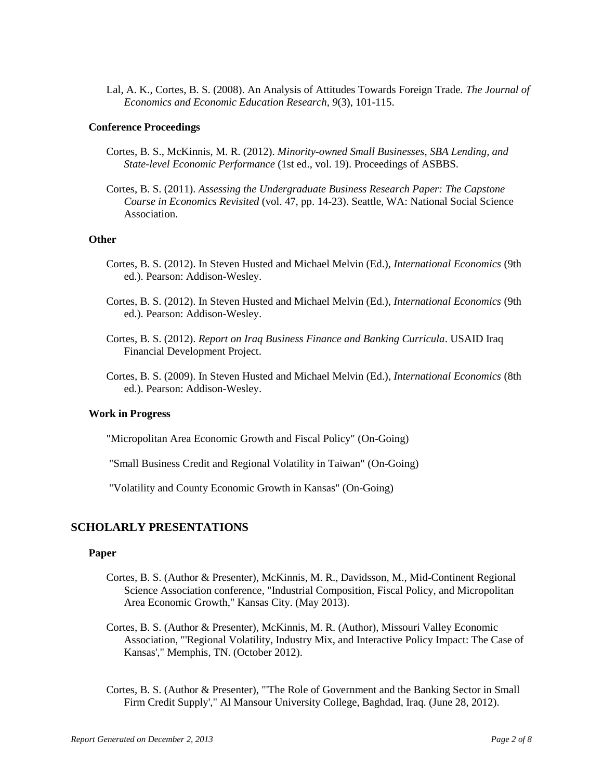Lal, A. K., Cortes, B. S. (2008). An Analysis of Attitudes Towards Foreign Trade. *The Journal of Economics and Economic Education Research, 9*(3), 101-115.

#### **Conference Proceedings**

- Cortes, B. S., McKinnis, M. R. (2012). *Minority-owned Small Businesses, SBA Lending, and State-level Economic Performance* (1st ed., vol. 19). Proceedings of ASBBS.
- Cortes, B. S. (2011). *Assessing the Undergraduate Business Research Paper: The Capstone Course in Economics Revisited* (vol. 47, pp. 14-23). Seattle, WA: National Social Science Association.

#### **Other**

- Cortes, B. S. (2012). In Steven Husted and Michael Melvin (Ed.), *International Economics* (9th ed.). Pearson: Addison-Wesley.
- Cortes, B. S. (2012). In Steven Husted and Michael Melvin (Ed.), *International Economics* (9th ed.). Pearson: Addison-Wesley.
- Cortes, B. S. (2012). *Report on Iraq Business Finance and Banking Curricula*. USAID Iraq Financial Development Project.
- Cortes, B. S. (2009). In Steven Husted and Michael Melvin (Ed.), *International Economics* (8th ed.). Pearson: Addison-Wesley.

#### **Work in Progress**

"Micropolitan Area Economic Growth and Fiscal Policy" (On-Going)

"Small Business Credit and Regional Volatility in Taiwan" (On-Going)

"Volatility and County Economic Growth in Kansas" (On-Going)

# **SCHOLARLY PRESENTATIONS**

#### **Paper**

- Cortes, B. S. (Author & Presenter), McKinnis, M. R., Davidsson, M., Mid-Continent Regional Science Association conference, "Industrial Composition, Fiscal Policy, and Micropolitan Area Economic Growth," Kansas City. (May 2013).
- Cortes, B. S. (Author & Presenter), McKinnis, M. R. (Author), Missouri Valley Economic Association, "'Regional Volatility, Industry Mix, and Interactive Policy Impact: The Case of Kansas'," Memphis, TN. (October 2012).
- Cortes, B. S. (Author & Presenter), "'The Role of Government and the Banking Sector in Small Firm Credit Supply'," Al Mansour University College, Baghdad, Iraq. (June 28, 2012).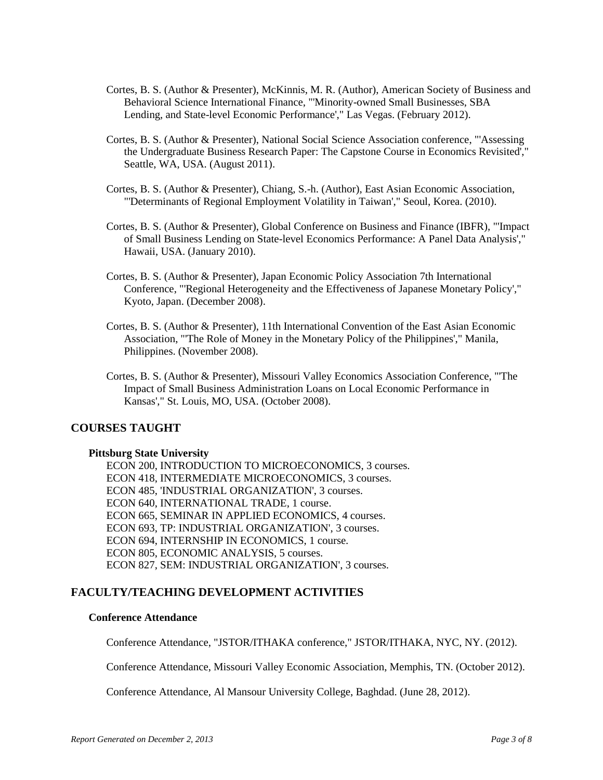- Cortes, B. S. (Author & Presenter), McKinnis, M. R. (Author), American Society of Business and Behavioral Science International Finance, "'Minority-owned Small Businesses, SBA Lending, and State-level Economic Performance'," Las Vegas. (February 2012).
- Cortes, B. S. (Author & Presenter), National Social Science Association conference, "'Assessing the Undergraduate Business Research Paper: The Capstone Course in Economics Revisited'," Seattle, WA, USA. (August 2011).
- Cortes, B. S. (Author & Presenter), Chiang, S.-h. (Author), East Asian Economic Association, "'Determinants of Regional Employment Volatility in Taiwan'," Seoul, Korea. (2010).
- Cortes, B. S. (Author & Presenter), Global Conference on Business and Finance (IBFR), "'Impact of Small Business Lending on State-level Economics Performance: A Panel Data Analysis'," Hawaii, USA. (January 2010).
- Cortes, B. S. (Author & Presenter), Japan Economic Policy Association 7th International Conference, "'Regional Heterogeneity and the Effectiveness of Japanese Monetary Policy'," Kyoto, Japan. (December 2008).
- Cortes, B. S. (Author & Presenter), 11th International Convention of the East Asian Economic Association, "'The Role of Money in the Monetary Policy of the Philippines'," Manila, Philippines. (November 2008).
- Cortes, B. S. (Author & Presenter), Missouri Valley Economics Association Conference, "'The Impact of Small Business Administration Loans on Local Economic Performance in Kansas'," St. Louis, MO, USA. (October 2008).

# **COURSES TAUGHT**

#### **Pittsburg State University**

ECON 200, INTRODUCTION TO MICROECONOMICS, 3 courses. ECON 418, INTERMEDIATE MICROECONOMICS, 3 courses. ECON 485, 'INDUSTRIAL ORGANIZATION', 3 courses. ECON 640, INTERNATIONAL TRADE, 1 course. ECON 665, SEMINAR IN APPLIED ECONOMICS, 4 courses. ECON 693, TP: INDUSTRIAL ORGANIZATION', 3 courses. ECON 694, INTERNSHIP IN ECONOMICS, 1 course. ECON 805, ECONOMIC ANALYSIS, 5 courses. ECON 827, SEM: INDUSTRIAL ORGANIZATION', 3 courses.

# **FACULTY/TEACHING DEVELOPMENT ACTIVITIES**

## **Conference Attendance**

Conference Attendance, "JSTOR/ITHAKA conference," JSTOR/ITHAKA, NYC, NY. (2012).

Conference Attendance, Missouri Valley Economic Association, Memphis, TN. (October 2012).

Conference Attendance, Al Mansour University College, Baghdad. (June 28, 2012).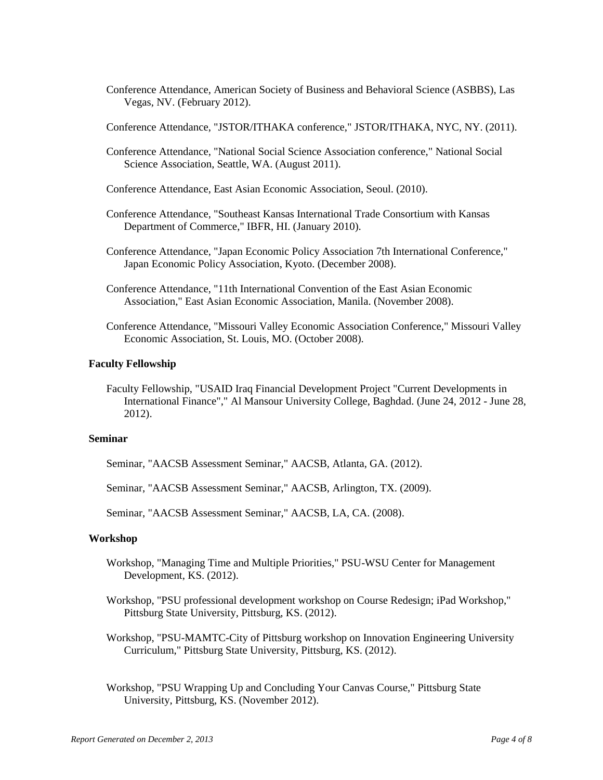- Conference Attendance, American Society of Business and Behavioral Science (ASBBS), Las Vegas, NV. (February 2012).
- Conference Attendance, "JSTOR/ITHAKA conference," JSTOR/ITHAKA, NYC, NY. (2011).
- Conference Attendance, "National Social Science Association conference," National Social Science Association, Seattle, WA. (August 2011).
- Conference Attendance, East Asian Economic Association, Seoul. (2010).
- Conference Attendance, "Southeast Kansas International Trade Consortium with Kansas Department of Commerce," IBFR, HI. (January 2010).
- Conference Attendance, "Japan Economic Policy Association 7th International Conference," Japan Economic Policy Association, Kyoto. (December 2008).
- Conference Attendance, "11th International Convention of the East Asian Economic Association," East Asian Economic Association, Manila. (November 2008).
- Conference Attendance, "Missouri Valley Economic Association Conference," Missouri Valley Economic Association, St. Louis, MO. (October 2008).

#### **Faculty Fellowship**

Faculty Fellowship, "USAID Iraq Financial Development Project "Current Developments in International Finance"," Al Mansour University College, Baghdad. (June 24, 2012 - June 28, 2012).

## **Seminar**

Seminar, "AACSB Assessment Seminar," AACSB, Atlanta, GA. (2012).

Seminar, "AACSB Assessment Seminar," AACSB, Arlington, TX. (2009).

Seminar, "AACSB Assessment Seminar," AACSB, LA, CA. (2008).

#### **Workshop**

- Workshop, "Managing Time and Multiple Priorities," PSU-WSU Center for Management Development, KS. (2012).
- Workshop, "PSU professional development workshop on Course Redesign; iPad Workshop," Pittsburg State University, Pittsburg, KS. (2012).
- Workshop, "PSU-MAMTC-City of Pittsburg workshop on Innovation Engineering University Curriculum," Pittsburg State University, Pittsburg, KS. (2012).
- Workshop, "PSU Wrapping Up and Concluding Your Canvas Course," Pittsburg State University, Pittsburg, KS. (November 2012).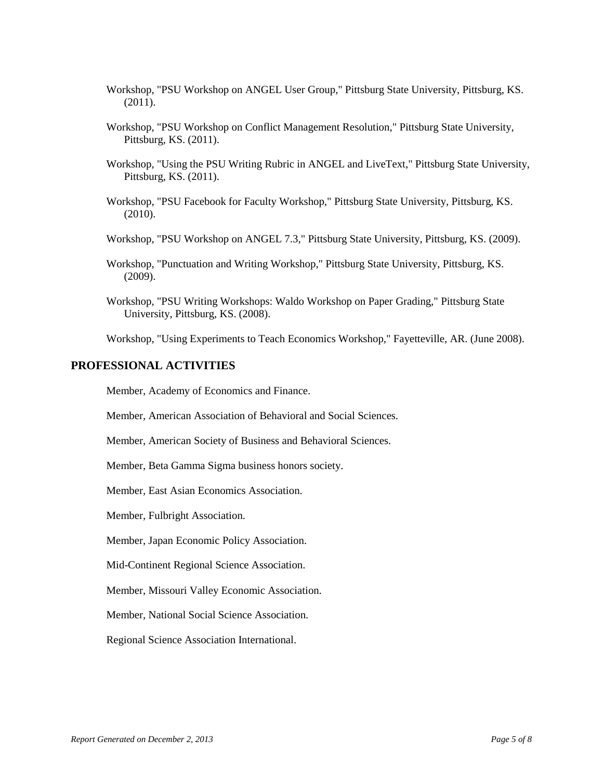- Workshop, "PSU Workshop on ANGEL User Group," Pittsburg State University, Pittsburg, KS. (2011).
- Workshop, "PSU Workshop on Conflict Management Resolution," Pittsburg State University, Pittsburg, KS. (2011).
- Workshop, "Using the PSU Writing Rubric in ANGEL and LiveText," Pittsburg State University, Pittsburg, KS. (2011).
- Workshop, "PSU Facebook for Faculty Workshop," Pittsburg State University, Pittsburg, KS. (2010).
- Workshop, "PSU Workshop on ANGEL 7.3," Pittsburg State University, Pittsburg, KS. (2009).
- Workshop, "Punctuation and Writing Workshop," Pittsburg State University, Pittsburg, KS. (2009).
- Workshop, "PSU Writing Workshops: Waldo Workshop on Paper Grading," Pittsburg State University, Pittsburg, KS. (2008).

Workshop, "Using Experiments to Teach Economics Workshop," Fayetteville, AR. (June 2008).

## **PROFESSIONAL ACTIVITIES**

Member, Academy of Economics and Finance.

Member, American Association of Behavioral and Social Sciences.

Member, American Society of Business and Behavioral Sciences.

Member, Beta Gamma Sigma business honors society.

Member, East Asian Economics Association.

Member, Fulbright Association.

Member, Japan Economic Policy Association.

Mid-Continent Regional Science Association.

Member, Missouri Valley Economic Association.

Member, National Social Science Association.

Regional Science Association International.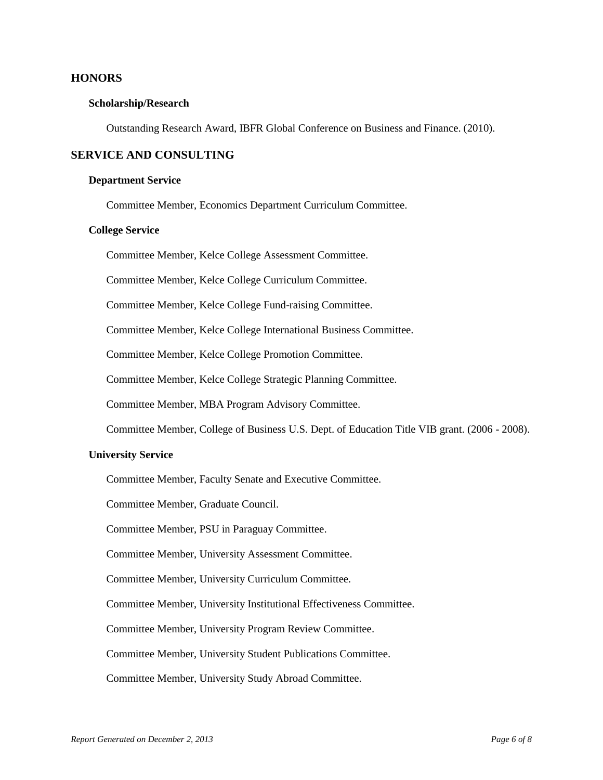## **HONORS**

#### **Scholarship/Research**

Outstanding Research Award, IBFR Global Conference on Business and Finance. (2010).

## **SERVICE AND CONSULTING**

#### **Department Service**

Committee Member, Economics Department Curriculum Committee.

#### **College Service**

Committee Member, Kelce College Assessment Committee.

Committee Member, Kelce College Curriculum Committee.

Committee Member, Kelce College Fund-raising Committee.

Committee Member, Kelce College International Business Committee.

Committee Member, Kelce College Promotion Committee.

Committee Member, Kelce College Strategic Planning Committee.

Committee Member, MBA Program Advisory Committee.

Committee Member, College of Business U.S. Dept. of Education Title VIB grant. (2006 - 2008).

#### **University Service**

Committee Member, Faculty Senate and Executive Committee.

Committee Member, Graduate Council.

Committee Member, PSU in Paraguay Committee.

Committee Member, University Assessment Committee.

Committee Member, University Curriculum Committee.

Committee Member, University Institutional Effectiveness Committee.

Committee Member, University Program Review Committee.

Committee Member, University Student Publications Committee.

Committee Member, University Study Abroad Committee.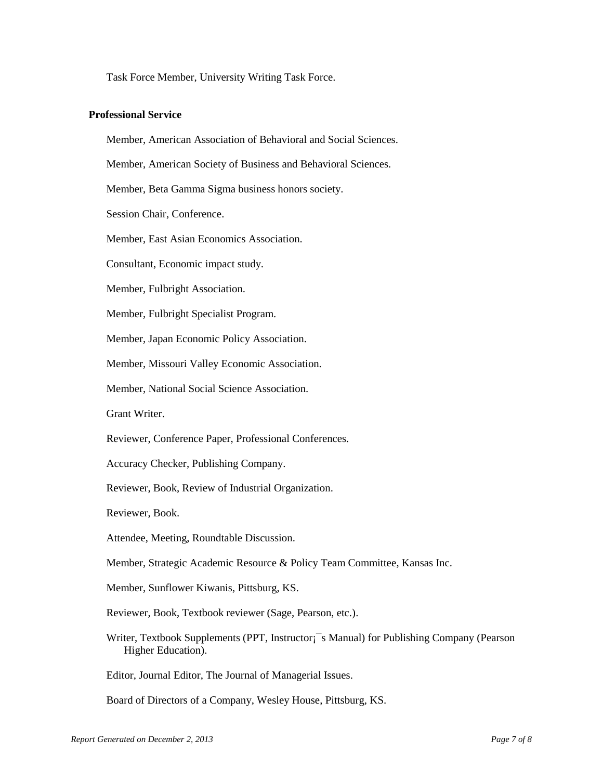Task Force Member, University Writing Task Force.

#### **Professional Service**

Member, American Association of Behavioral and Social Sciences.

Member, American Society of Business and Behavioral Sciences.

Member, Beta Gamma Sigma business honors society.

Session Chair, Conference.

Member, East Asian Economics Association.

Consultant, Economic impact study.

Member, Fulbright Association.

Member, Fulbright Specialist Program.

Member, Japan Economic Policy Association.

Member, Missouri Valley Economic Association.

Member, National Social Science Association.

Grant Writer.

Reviewer, Conference Paper, Professional Conferences.

Accuracy Checker, Publishing Company.

Reviewer, Book, Review of Industrial Organization.

Reviewer, Book.

Attendee, Meeting, Roundtable Discussion.

Member, Strategic Academic Resource & Policy Team Committee, Kansas Inc.

Member, Sunflower Kiwanis, Pittsburg, KS.

Reviewer, Book, Textbook reviewer (Sage, Pearson, etc.).

Writer, Textbook Supplements (PPT, Instructor; S Manual) for Publishing Company (Pearson Higher Education).

Editor, Journal Editor, The Journal of Managerial Issues.

Board of Directors of a Company, Wesley House, Pittsburg, KS.